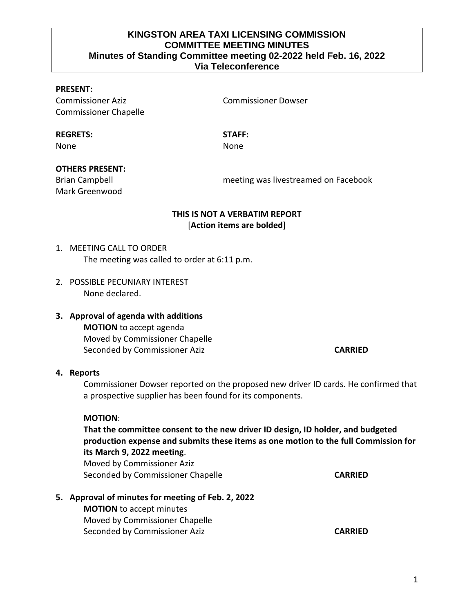## **KINGSTON AREA TAXI LICENSING COMMISSION COMMITTEE MEETING MINUTES Minutes of Standing Committee meeting 02-2022 held Feb. 16, 2022 Via Teleconference**

### **PRESENT:**

Commissioner Aziz Commissioner Dowser Commissioner Chapelle

#### **REGRETS: STAFF:**

None **None** None

#### **OTHERS PRESENT:**

Mark Greenwood

Brian Campbell meeting was livestreamed on Facebook

# **THIS IS NOT A VERBATIM REPORT** [**Action items are bolded**]

# 1. MEETING CALL TO ORDER The meeting was called to order at 6:11 p.m.

- 2. POSSIBLE PECUNIARY INTEREST None declared.
- **3. Approval of agenda with additions MOTION** to accept agenda Moved by Commissioner Chapelle Seconded by Commissioner Aziz **CARRIED**

#### **4. Reports**

Commissioner Dowser reported on the proposed new driver ID cards. He confirmed that a prospective supplier has been found for its components.

#### **MOTION**:

**That the committee consent to the new driver ID design, ID holder, and budgeted production expense and submits these items as one motion to the full Commission for its March 9, 2022 meeting**.

Moved by Commissioner Aziz Seconded by Commissioner Chapelle **CARRIED CARRIED** 

### **5. Approval of minutes for meeting of Feb. 2, 2022**

**MOTION** to accept minutes Moved by Commissioner Chapelle Seconded by Commissioner Aziz **CARRIED CARRIED**